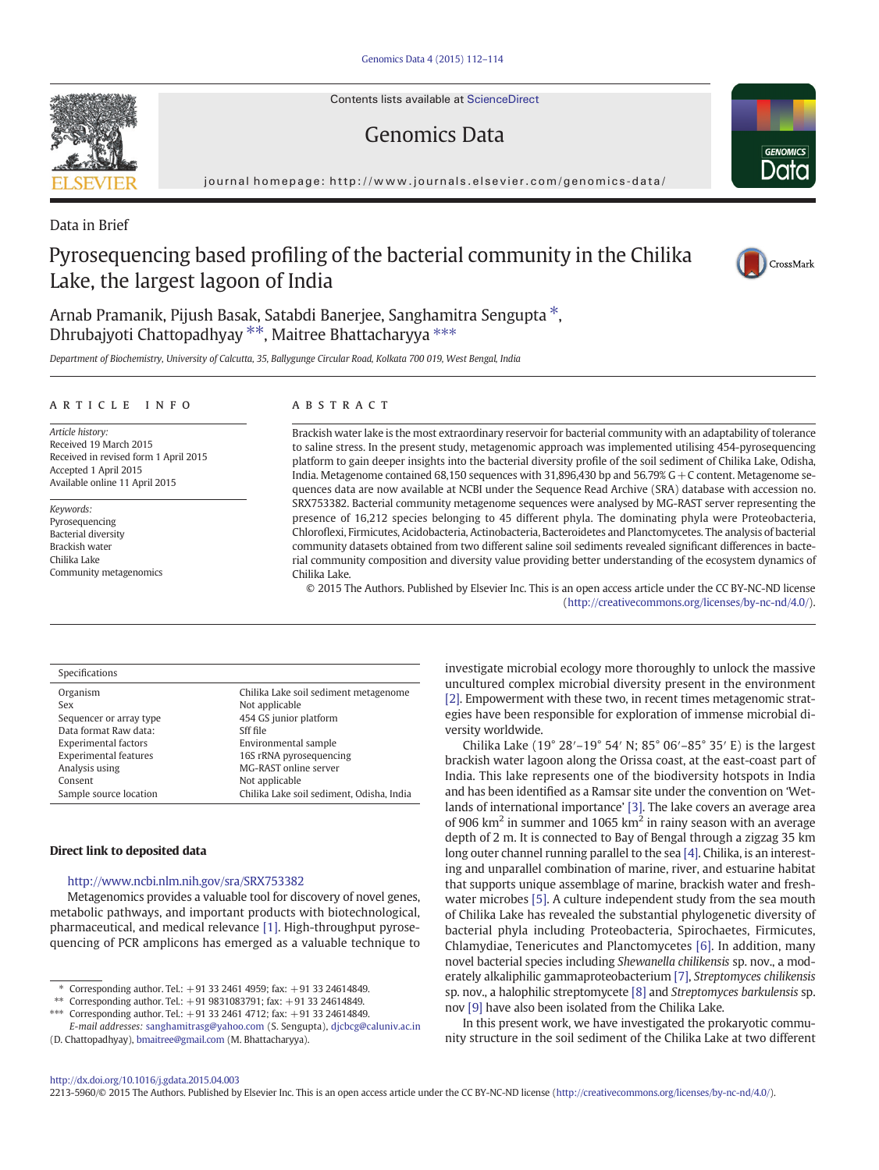Contents lists available at [ScienceDirect](http://www.sciencedirect.com/science/journal/22135960)

# Genomics Data

journal homepage: [http://www.journals.elsevier.com/genomics-data/](http://www.journals.elsevier.com/genomicsata/)

Data in Brief

# Pyrosequencing based profiling of the bacterial community in the Chilika Lake, the largest lagoon of India

Arnab Pramanik, Pijush Basak, Satabdi Banerjee, Sanghamitra Sengupta<sup>\*</sup>, Dhrubajyoti Chattopadhyay <sup>\*\*</sup>, Maitree Bhattacharyya \*\*\*

Department of Biochemistry, University of Calcutta, 35, Ballygunge Circular Road, Kolkata 700 019, West Bengal, India

## article info abstract

Article history: Received 19 March 2015 Received in revised form 1 April 2015 Accepted 1 April 2015 Available online 11 April 2015

Keywords: Pyrosequencing Bacterial diversity Brackish water Chilika Lake Community metagenomics

Brackish water lake is the most extraordinary reservoir for bacterial community with an adaptability of tolerance to saline stress. In the present study, metagenomic approach was implemented utilising 454-pyrosequencing platform to gain deeper insights into the bacterial diversity profile of the soil sediment of Chilika Lake, Odisha, India. Metagenome contained 68,150 sequences with 31,896,430 bp and 56.79% G + C content. Metagenome sequences data are now available at NCBI under the Sequence Read Archive (SRA) database with accession no. SRX753382. Bacterial community metagenome sequences were analysed by MG-RAST server representing the presence of 16,212 species belonging to 45 different phyla. The dominating phyla were Proteobacteria, Chloroflexi, Firmicutes, Acidobacteria, Actinobacteria, Bacteroidetes and Planctomycetes. The analysis of bacterial community datasets obtained from two different saline soil sediments revealed significant differences in bacterial community composition and diversity value providing better understanding of the ecosystem dynamics of Chilika Lake.

© 2015 The Authors. Published by Elsevier Inc. This is an open access article under the CC BY-NC-ND license (<http://creativecommons.org/licenses/by-nc-nd/4.0/>).

#### Specifications

| Organism                     | Chilika Lake soil sediment metagenome     |
|------------------------------|-------------------------------------------|
| Sex                          | Not applicable                            |
| Sequencer or array type      | 454 GS junior platform                    |
| Data format Raw data:        | Sff file                                  |
| <b>Experimental factors</b>  | Environmental sample                      |
| <b>Experimental features</b> | 16S rRNA pyrosequencing                   |
| Analysis using               | MG-RAST online server                     |
| Consent                      | Not applicable                            |
| Sample source location       | Chilika Lake soil sediment, Odisha, India |

#### Direct link to deposited data

## <http://www.ncbi.nlm.nih.gov/sra/SRX753382>

Metagenomics provides a valuable tool for discovery of novel genes, metabolic pathways, and important products with biotechnological, pharmaceutical, and medical relevance [\[1\]](#page-2-0). High-throughput pyrosequencing of PCR amplicons has emerged as a valuable technique to

⁎ Corresponding author. Tel.: +91 33 2461 4959; fax: +91 33 24614849.

⁎⁎ Corresponding author. Tel.: +91 9831083791; fax: +91 33 24614849.

⁎⁎⁎ Corresponding author. Tel.: +91 33 2461 4712; fax: +91 33 24614849.

investigate microbial ecology more thoroughly to unlock the massive uncultured complex microbial diversity present in the environment [\[2\].](#page-2-0) Empowerment with these two, in recent times metagenomic strategies have been responsible for exploration of immense microbial diversity worldwide.

Chilika Lake (19° 28′–19° 54′ N; 85° 06′–85° 35′ E) is the largest brackish water lagoon along the Orissa coast, at the east-coast part of India. This lake represents one of the biodiversity hotspots in India and has been identified as a Ramsar site under the convention on 'Wetlands of international importance' [\[3\]](#page-2-0). The lake covers an average area of 906  $km^2$  in summer and 1065  $km^2$  in rainy season with an average depth of 2 m. It is connected to Bay of Bengal through a zigzag 35 km long outer channel running parallel to the sea [\[4\]](#page-2-0). Chilika, is an interesting and unparallel combination of marine, river, and estuarine habitat that supports unique assemblage of marine, brackish water and freshwater microbes [\[5\].](#page-2-0) A culture independent study from the sea mouth of Chilika Lake has revealed the substantial phylogenetic diversity of bacterial phyla including Proteobacteria, Spirochaetes, Firmicutes, Chlamydiae, Tenericutes and Planctomycetes [\[6\]](#page-2-0). In addition, many novel bacterial species including Shewanella chilikensis sp. nov., a moderately alkaliphilic gammaproteobacterium [\[7\],](#page-2-0) Streptomyces chilikensis sp. nov., a halophilic streptomycete [\[8\]](#page-2-0) and Streptomyces barkulensis sp. nov [\[9\]](#page-2-0) have also been isolated from the Chilika Lake.

In this present work, we have investigated the prokaryotic community structure in the soil sediment of the Chilika Lake at two different

#### <http://dx.doi.org/10.1016/j.gdata.2015.04.003>

2213-5960/© 2015 The Authors. Published by Elsevier Inc. This is an open access article under the CC BY-NC-ND license [\(http://creativecommons.org/licenses/by-nc-nd/4.0/\)](http://creativecommons.org/licenses/by-nc-nd/4.0/).







E-mail addresses: [sanghamitrasg@yahoo.com](mailto:sanghamitrasg@yahoo.com) (S. Sengupta), [djcbcg@caluniv.ac.in](mailto:djcbcg@caluniv.ac.in) (D. Chattopadhyay), [bmaitree@gmail.com](mailto:bmaitree@gmail.com) (M. Bhattacharyya).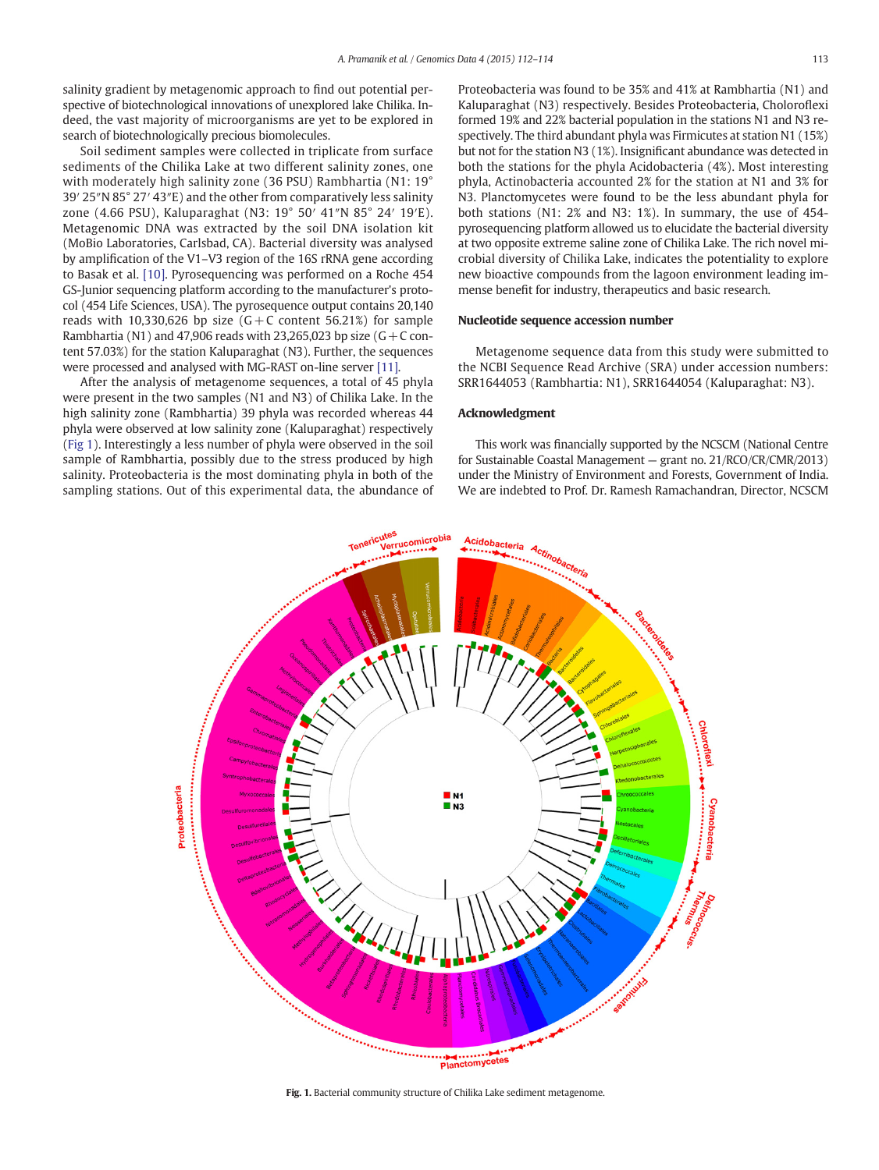salinity gradient by metagenomic approach to find out potential perspective of biotechnological innovations of unexplored lake Chilika. Indeed, the vast majority of microorganisms are yet to be explored in search of biotechnologically precious biomolecules.

Soil sediment samples were collected in triplicate from surface sediments of the Chilika Lake at two different salinity zones, one with moderately high salinity zone (36 PSU) Rambhartia (N1: 19° 39′ 25″N 85° 27′ 43″E) and the other from comparatively less salinity zone (4.66 PSU), Kaluparaghat (N3: 19° 50′ 41″N 85° 24′ 19′E). Metagenomic DNA was extracted by the soil DNA isolation kit (MoBio Laboratories, Carlsbad, CA). Bacterial diversity was analysed by amplification of the V1–V3 region of the 16S rRNA gene according to Basak et al. [\[10\].](#page-2-0) Pyrosequencing was performed on a Roche 454 GS-Junior sequencing platform according to the manufacturer's protocol (454 Life Sciences, USA). The pyrosequence output contains 20,140 reads with 10,330,626 bp size  $(G + C \text{ content } 56.21\%)$  for sample Rambhartia (N1) and 47,906 reads with 23,265,023 bp size ( $G + C$  content 57.03%) for the station Kaluparaghat (N3). Further, the sequences were processed and analysed with MG-RAST on-line server [\[11\].](#page-2-0)

After the analysis of metagenome sequences, a total of 45 phyla were present in the two samples (N1 and N3) of Chilika Lake. In the high salinity zone (Rambhartia) 39 phyla was recorded whereas 44 phyla were observed at low salinity zone (Kaluparaghat) respectively (Fig 1). Interestingly a less number of phyla were observed in the soil sample of Rambhartia, possibly due to the stress produced by high salinity. Proteobacteria is the most dominating phyla in both of the sampling stations. Out of this experimental data, the abundance of Proteobacteria was found to be 35% and 41% at Rambhartia (N1) and Kaluparaghat (N3) respectively. Besides Proteobacteria, Choloroflexi formed 19% and 22% bacterial population in the stations N1 and N3 respectively. The third abundant phyla was Firmicutes at station N1 (15%) but not for the station N3 (1%). Insignificant abundance was detected in both the stations for the phyla Acidobacteria (4%). Most interesting phyla, Actinobacteria accounted 2% for the station at N1 and 3% for N3. Planctomycetes were found to be the less abundant phyla for both stations (N1: 2% and N3: 1%). In summary, the use of 454 pyrosequencing platform allowed us to elucidate the bacterial diversity at two opposite extreme saline zone of Chilika Lake. The rich novel microbial diversity of Chilika Lake, indicates the potentiality to explore new bioactive compounds from the lagoon environment leading immense benefit for industry, therapeutics and basic research.

#### Nucleotide sequence accession number

Metagenome sequence data from this study were submitted to the NCBI Sequence Read Archive (SRA) under accession numbers: SRR1644053 (Rambhartia: N1), SRR1644054 (Kaluparaghat: N3).

# Acknowledgment

This work was financially supported by the NCSCM (National Centre for Sustainable Coastal Management — grant no. 21/RCO/CR/CMR/2013) under the Ministry of Environment and Forests, Government of India. We are indebted to Prof. Dr. Ramesh Ramachandran, Director, NCSCM



Fig. 1. Bacterial community structure of Chilika Lake sediment metagenome.